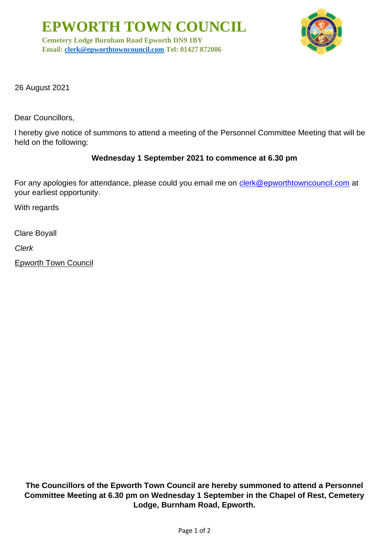**EPWORTH TOWN COUNCIL**

**Cemetery Lodge Burnham Road Epworth DN9 1BY Email: [clerk@epworthtowncouncil.com](mailto:clerk@epworthtowncouncil.com) Tel: 01427 872086**



26 August 2021

Dear Councillors,

I hereby give notice of summons to attend a meeting of the Personnel Committee Meeting that will be held on the following:

## **Wednesday 1 September 2021 to commence at 6.30 pm**

For any apologies for attendance, please could you email me on clerk@epworthtowncouncil.com at your earliest opportunity.

With regards

Clare Boyall

*Clerk*

Epworth Town Council

**The Councillors of the Epworth Town Council are hereby summoned to attend a Personnel Committee Meeting at 6.30 pm on Wednesday 1 September in the Chapel of Rest, Cemetery Lodge, Burnham Road, Epworth.**